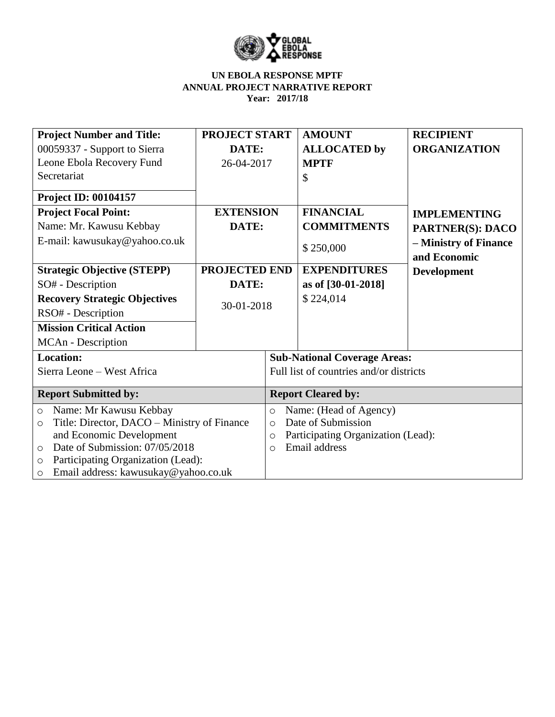

| <b>PROJECT START</b><br><b>Project Number and Title:</b>    |                  |                                               | <b>AMOUNT</b>                           | <b>RECIPIENT</b>                               |  |  |
|-------------------------------------------------------------|------------------|-----------------------------------------------|-----------------------------------------|------------------------------------------------|--|--|
| 00059337 - Support to Sierra                                | DATE:            |                                               | <b>ALLOCATED by</b>                     | <b>ORGANIZATION</b>                            |  |  |
| Leone Ebola Recovery Fund                                   | 26-04-2017       |                                               | <b>MPTF</b>                             |                                                |  |  |
| Secretariat                                                 |                  |                                               | \$                                      |                                                |  |  |
| <b>Project ID: 00104157</b>                                 |                  |                                               |                                         |                                                |  |  |
| <b>Project Focal Point:</b>                                 | <b>EXTENSION</b> |                                               | <b>FINANCIAL</b>                        | <b>IMPLEMENTING</b><br><b>PARTNER(S): DACO</b> |  |  |
| Name: Mr. Kawusu Kebbay<br>DATE:                            |                  |                                               | <b>COMMITMENTS</b>                      |                                                |  |  |
| E-mail: kawusukay@yahoo.co.uk                               |                  |                                               | \$250,000                               | - Ministry of Finance<br>and Economic          |  |  |
| <b>Strategic Objective (STEPP)</b>                          | PROJECTED END    |                                               | <b>EXPENDITURES</b>                     | <b>Development</b>                             |  |  |
| SO# - Description                                           | DATE:            |                                               | as of [30-01-2018]                      |                                                |  |  |
| <b>Recovery Strategic Objectives</b>                        |                  |                                               | \$224,014                               |                                                |  |  |
| RSO# - Description                                          | 30-01-2018       |                                               |                                         |                                                |  |  |
| <b>Mission Critical Action</b>                              |                  |                                               |                                         |                                                |  |  |
| MCAn - Description                                          |                  |                                               |                                         |                                                |  |  |
| <b>Location:</b>                                            |                  |                                               | <b>Sub-National Coverage Areas:</b>     |                                                |  |  |
| Sierra Leone – West Africa                                  |                  |                                               | Full list of countries and/or districts |                                                |  |  |
| <b>Report Submitted by:</b>                                 |                  |                                               | <b>Report Cleared by:</b>               |                                                |  |  |
| Name: Mr Kawusu Kebbay<br>$\circ$                           |                  |                                               | Name: (Head of Agency)<br>$\circ$       |                                                |  |  |
| Title: Director, DACO – Ministry of Finance<br>$\circ$      |                  | Date of Submission<br>$\circ$                 |                                         |                                                |  |  |
| and Economic Development                                    |                  | Participating Organization (Lead):<br>$\circ$ |                                         |                                                |  |  |
| Date of Submission: 07/05/2018<br>$\circ$                   |                  | Email address<br>$\circ$                      |                                         |                                                |  |  |
| Participating Organization (Lead):<br>$\circ$               |                  |                                               |                                         |                                                |  |  |
| Email address: kawusukay@yahoo.co.uk<br>$\circlearrowright$ |                  |                                               |                                         |                                                |  |  |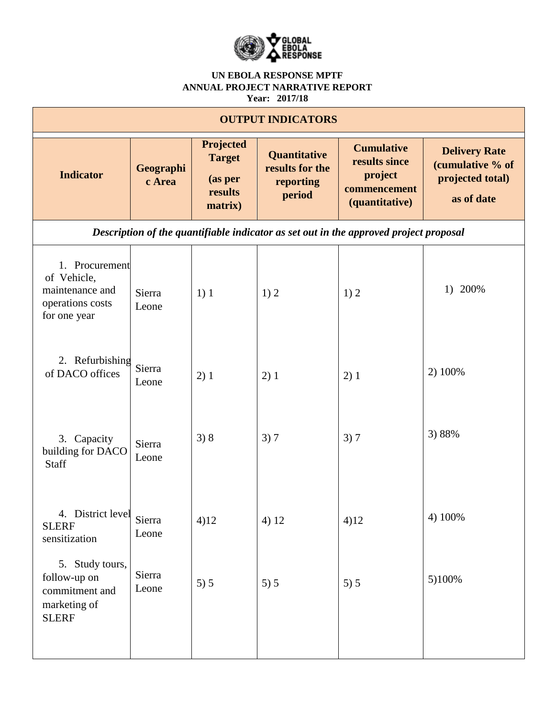

| <b>OUTPUT INDICATORS</b>                                                             |                                                                                       |                                                             |                                                        |                                                                                 |                                                                            |  |  |  |
|--------------------------------------------------------------------------------------|---------------------------------------------------------------------------------------|-------------------------------------------------------------|--------------------------------------------------------|---------------------------------------------------------------------------------|----------------------------------------------------------------------------|--|--|--|
| <b>Indicator</b>                                                                     | Geographi<br>c Area                                                                   | Projected<br><b>Target</b><br>(as per<br>results<br>matrix) | Quantitative<br>results for the<br>reporting<br>period | <b>Cumulative</b><br>results since<br>project<br>commencement<br>(quantitative) | <b>Delivery Rate</b><br>(cumulative % of<br>projected total)<br>as of date |  |  |  |
|                                                                                      | Description of the quantifiable indicator as set out in the approved project proposal |                                                             |                                                        |                                                                                 |                                                                            |  |  |  |
| 1. Procurement<br>of Vehicle,<br>maintenance and<br>operations costs<br>for one year | Sierra<br>Leone                                                                       | 1)1                                                         | 1)2                                                    | 1)2                                                                             | 200%<br>1)                                                                 |  |  |  |
| 2. Refurbishing<br>of DACO offices                                                   | Sierra<br>Leone                                                                       | 2)1                                                         | 2)1                                                    | 2)1                                                                             | 2) 100%                                                                    |  |  |  |
| 3. Capacity<br>building for DACO<br>Staff                                            | Sierra<br>Leone                                                                       | 3)8                                                         | 3)7                                                    | 3)7                                                                             | 3) 88%                                                                     |  |  |  |
| 4. District level<br><b>SLERF</b><br>sensitization                                   | Sierra<br>Leone                                                                       | 4)12                                                        | 4) 12                                                  | 4)12                                                                            | 4) 100%                                                                    |  |  |  |
| 5. Study tours,<br>follow-up on<br>commitment and<br>marketing of<br><b>SLERF</b>    | Sierra<br>Leone                                                                       | 5) 5                                                        | 5) 5                                                   | 5) 5                                                                            | 5)100%                                                                     |  |  |  |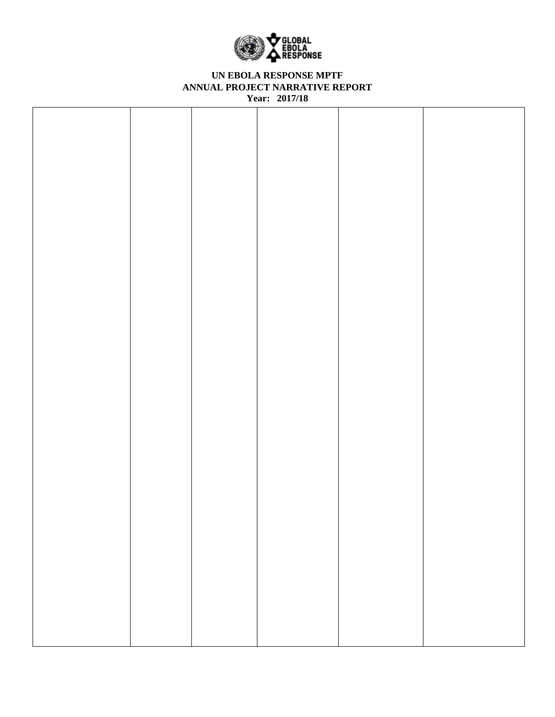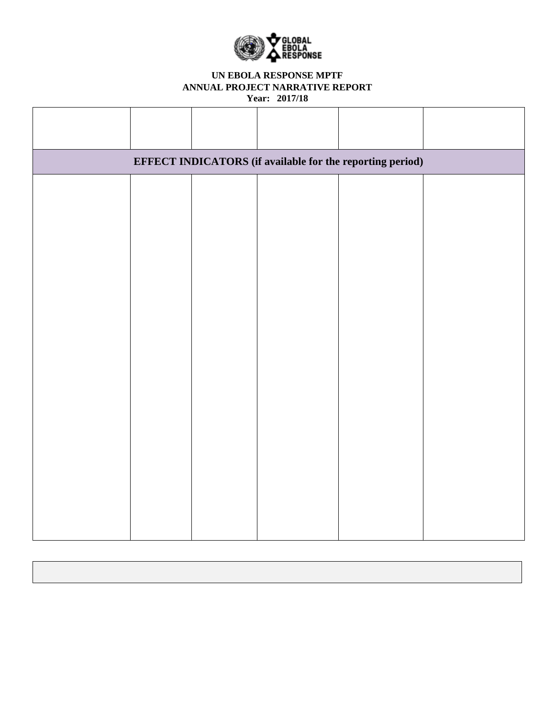

| <b>EFFECT INDICATORS</b> (if available for the reporting period) |  |  |  |  |  |  |
|------------------------------------------------------------------|--|--|--|--|--|--|
|                                                                  |  |  |  |  |  |  |
|                                                                  |  |  |  |  |  |  |
|                                                                  |  |  |  |  |  |  |
|                                                                  |  |  |  |  |  |  |
|                                                                  |  |  |  |  |  |  |
|                                                                  |  |  |  |  |  |  |
|                                                                  |  |  |  |  |  |  |
|                                                                  |  |  |  |  |  |  |
|                                                                  |  |  |  |  |  |  |
|                                                                  |  |  |  |  |  |  |
|                                                                  |  |  |  |  |  |  |
|                                                                  |  |  |  |  |  |  |
|                                                                  |  |  |  |  |  |  |
|                                                                  |  |  |  |  |  |  |
|                                                                  |  |  |  |  |  |  |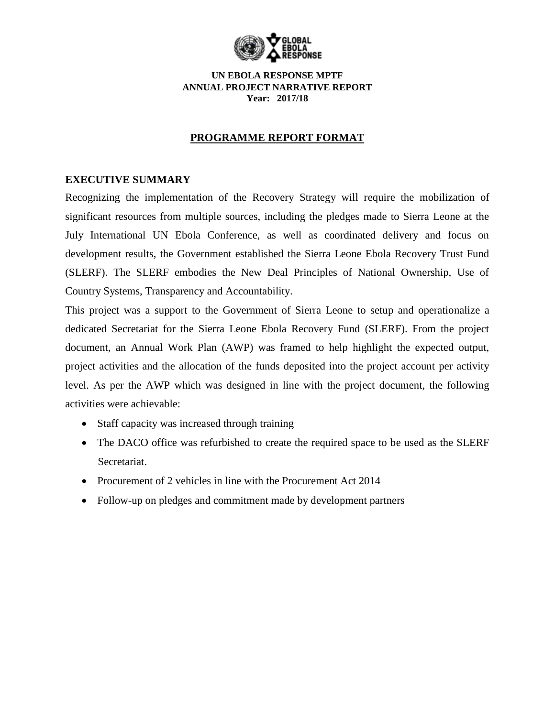

# **PROGRAMME REPORT FORMAT**

### **EXECUTIVE SUMMARY**

Recognizing the implementation of the Recovery Strategy will require the mobilization of significant resources from multiple sources, including the pledges made to Sierra Leone at the July International UN Ebola Conference, as well as coordinated delivery and focus on development results, the Government established the Sierra Leone Ebola Recovery Trust Fund (SLERF). The SLERF embodies the New Deal Principles of National Ownership, Use of Country Systems, Transparency and Accountability.

This project was a support to the Government of Sierra Leone to setup and operationalize a dedicated Secretariat for the Sierra Leone Ebola Recovery Fund (SLERF). From the project document, an Annual Work Plan (AWP) was framed to help highlight the expected output, project activities and the allocation of the funds deposited into the project account per activity level. As per the AWP which was designed in line with the project document, the following activities were achievable:

- Staff capacity was increased through training
- The DACO office was refurbished to create the required space to be used as the SLERF Secretariat.
- Procurement of 2 vehicles in line with the Procurement Act 2014
- Follow-up on pledges and commitment made by development partners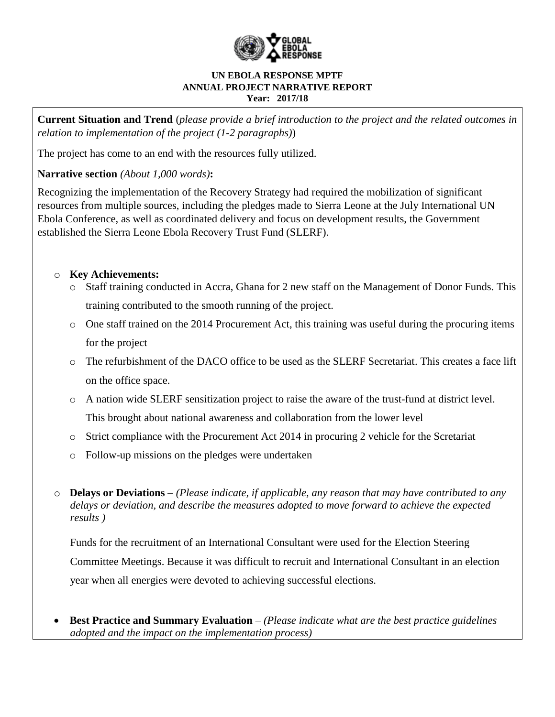

**Current Situation and Trend** (*please provide a brief introduction to the project and the related outcomes in relation to implementation of the project (1-2 paragraphs)*)

The project has come to an end with the resources fully utilized.

# **Narrative section** *(About 1,000 words)***:**

Recognizing the implementation of the Recovery Strategy had required the mobilization of significant resources from multiple sources, including the pledges made to Sierra Leone at the July International UN Ebola Conference, as well as coordinated delivery and focus on development results, the Government established the Sierra Leone Ebola Recovery Trust Fund (SLERF).

### o **Key Achievements:**

- o Staff training conducted in Accra, Ghana for 2 new staff on the Management of Donor Funds. This training contributed to the smooth running of the project.
- $\circ$  One staff trained on the 2014 Procurement Act, this training was useful during the procuring items for the project
- o The refurbishment of the DACO office to be used as the SLERF Secretariat. This creates a face lift on the office space.
- o A nation wide SLERF sensitization project to raise the aware of the trust-fund at district level. This brought about national awareness and collaboration from the lower level
- o Strict compliance with the Procurement Act 2014 in procuring 2 vehicle for the Scretariat
- o Follow-up missions on the pledges were undertaken
- o **Delays or Deviations** *– (Please indicate, if applicable, any reason that may have contributed to any delays or deviation, and describe the measures adopted to move forward to achieve the expected results )*

Funds for the recruitment of an International Consultant were used for the Election Steering Committee Meetings. Because it was difficult to recruit and International Consultant in an election year when all energies were devoted to achieving successful elections.

 **Best Practice and Summary Evaluation** *– (Please indicate what are the best practice guidelines adopted and the impact on the implementation process)*